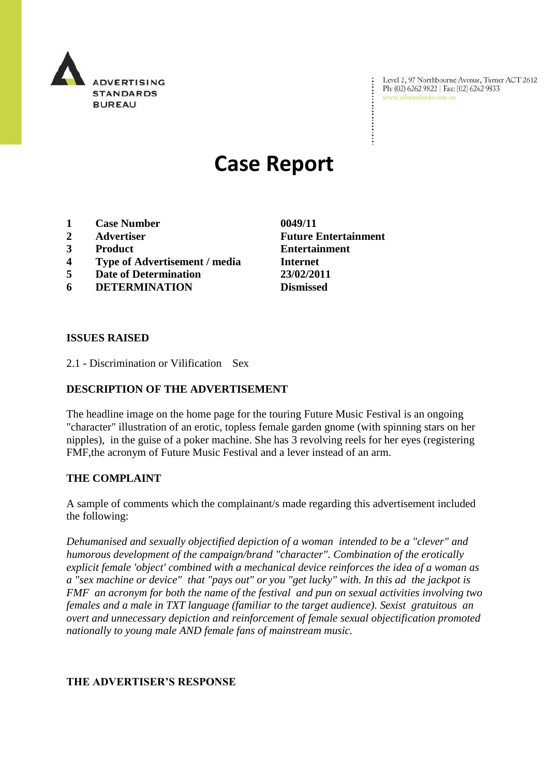

Level 2, 97 Northbourne Avenue, Turner ACT 2612 Ph: (02) 6262 9822 | Fax: (02) 6262 9833<br>www.adstandards.com.au

# **Case Report**

- **1 Case Number 0049/11**
- 
- 
- **4 Type of Advertisement / media Internet**
- **5 Date of Determination 23/02/2011**
- **6 DETERMINATION Dismissed**

**2 Advertiser Future Entertainment 3 Product Entertainment**

#### **ISSUES RAISED**

2.1 - Discrimination or Vilification Sex

### **DESCRIPTION OF THE ADVERTISEMENT**

The headline image on the home page for the touring Future Music Festival is an ongoing "character" illustration of an erotic, topless female garden gnome (with spinning stars on her nipples), in the guise of a poker machine. She has 3 revolving reels for her eyes (registering FMF,the acronym of Future Music Festival and a lever instead of an arm.

### **THE COMPLAINT**

A sample of comments which the complainant/s made regarding this advertisement included the following:

*Dehumanised and sexually objectified depiction of a woman intended to be a "clever" and humorous development of the campaign/brand "character". Combination of the erotically explicit female 'object' combined with a mechanical device reinforces the idea of a woman as a "sex machine or device" that "pays out" or you "get lucky" with. In this ad the jackpot is FMF an acronym for both the name of the festival and pun on sexual activities involving two females and a male in TXT language (familiar to the target audience). Sexist gratuitous an overt and unnecessary depiction and reinforcement of female sexual objectification promoted nationally to young male AND female fans of mainstream music.*

### **THE ADVERTISER'S RESPONSE**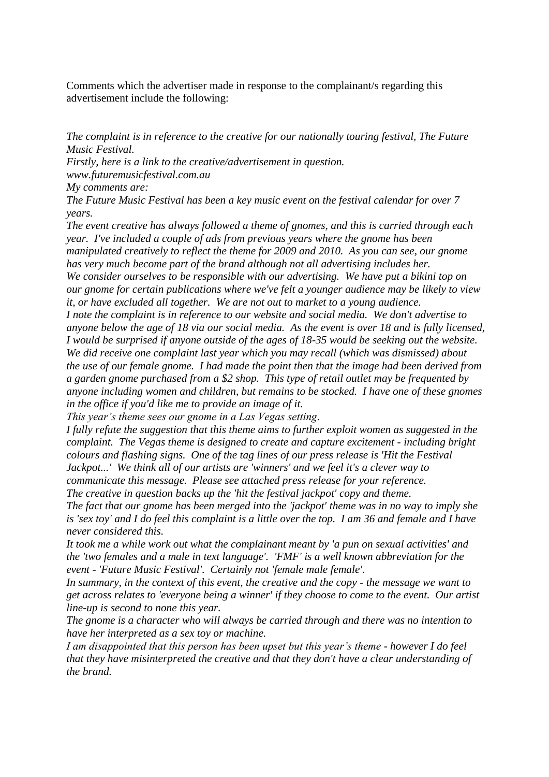Comments which the advertiser made in response to the complainant/s regarding this advertisement include the following:

*The complaint is in reference to the creative for our nationally touring festival, The Future Music Festival.*

*Firstly, here is a link to the creative/advertisement in question.* 

*www.futuremusicfestival.com.au*

*My comments are:*

*The Future Music Festival has been a key music event on the festival calendar for over 7 years.*

*The event creative has always followed a theme of gnomes, and this is carried through each year. I've included a couple of ads from previous years where the gnome has been manipulated creatively to reflect the theme for 2009 and 2010. As you can see, our gnome has very much become part of the brand although not all advertising includes her. We consider ourselves to be responsible with our advertising. We have put a bikini top on our gnome for certain publications where we've felt a younger audience may be likely to view* 

*it, or have excluded all together. We are not out to market to a young audience. I note the complaint is in reference to our website and social media. We don't advertise to* 

*anyone below the age of 18 via our social media. As the event is over 18 and is fully licensed, I would be surprised if anyone outside of the ages of 18-35 would be seeking out the website. We did receive one complaint last year which you may recall (which was dismissed) about the use of our female gnome. I had made the point then that the image had been derived from a garden gnome purchased from a \$2 shop. This type of retail outlet may be frequented by anyone including women and children, but remains to be stocked. I have one of these gnomes in the office if you'd like me to provide an image of it.*

*This year's theme sees our gnome in a Las Vegas setting.*

*I fully refute the suggestion that this theme aims to further exploit women as suggested in the complaint. The Vegas theme is designed to create and capture excitement - including bright colours and flashing signs. One of the tag lines of our press release is 'Hit the Festival Jackpot...' We think all of our artists are 'winners' and we feel it's a clever way to communicate this message. Please see attached press release for your reference.*

*The creative in question backs up the 'hit the festival jackpot' copy and theme.*

*The fact that our gnome has been merged into the 'jackpot' theme was in no way to imply she is 'sex toy' and I do feel this complaint is a little over the top. I am 36 and female and I have never considered this.*

*It took me a while work out what the complainant meant by 'a pun on sexual activities' and the 'two females and a male in text language'. 'FMF' is a well known abbreviation for the event - 'Future Music Festival'. Certainly not 'female male female'.* 

*In summary, in the context of this event, the creative and the copy - the message we want to get across relates to 'everyone being a winner' if they choose to come to the event. Our artist line-up is second to none this year.* 

*The gnome is a character who will always be carried through and there was no intention to have her interpreted as a sex toy or machine.*

*I am disappointed that this person has been upset but this year's theme - however I do feel that they have misinterpreted the creative and that they don't have a clear understanding of the brand.*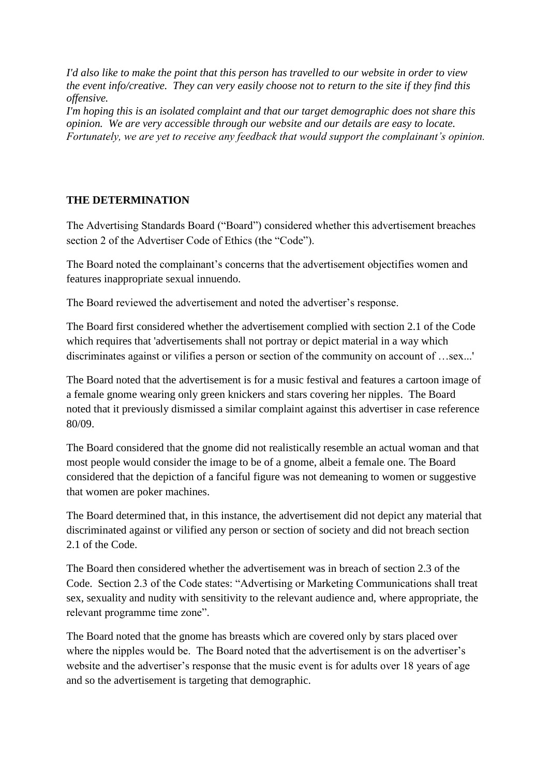*I'd also like to make the point that this person has travelled to our website in order to view the event info/creative. They can very easily choose not to return to the site if they find this offensive.*

*I'm hoping this is an isolated complaint and that our target demographic does not share this opinion. We are very accessible through our website and our details are easy to locate. Fortunately, we are yet to receive any feedback that would support the complainant's opinion.*

## **THE DETERMINATION**

The Advertising Standards Board ("Board") considered whether this advertisement breaches section 2 of the Advertiser Code of Ethics (the "Code").

The Board noted the complainant's concerns that the advertisement objectifies women and features inappropriate sexual innuendo.

The Board reviewed the advertisement and noted the advertiser's response.

The Board first considered whether the advertisement complied with section 2.1 of the Code which requires that 'advertisements shall not portray or depict material in a way which discriminates against or vilifies a person or section of the community on account of …sex...'

The Board noted that the advertisement is for a music festival and features a cartoon image of a female gnome wearing only green knickers and stars covering her nipples. The Board noted that it previously dismissed a similar complaint against this advertiser in case reference 80/09.

The Board considered that the gnome did not realistically resemble an actual woman and that most people would consider the image to be of a gnome, albeit a female one. The Board considered that the depiction of a fanciful figure was not demeaning to women or suggestive that women are poker machines.

The Board determined that, in this instance, the advertisement did not depict any material that discriminated against or vilified any person or section of society and did not breach section 2.1 of the Code.

The Board then considered whether the advertisement was in breach of section 2.3 of the Code. Section 2.3 of the Code states: "Advertising or Marketing Communications shall treat sex, sexuality and nudity with sensitivity to the relevant audience and, where appropriate, the relevant programme time zone".

The Board noted that the gnome has breasts which are covered only by stars placed over where the nipples would be. The Board noted that the advertisement is on the advertiser's website and the advertiser's response that the music event is for adults over 18 years of age and so the advertisement is targeting that demographic.